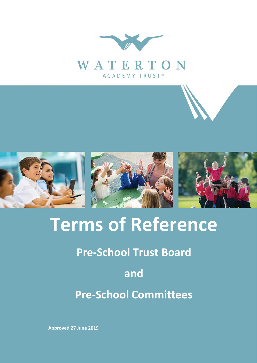



# **Terms of Reference**

# **Pre-School Trust Board**

# **and**

**Pre-School Committees**

**Approved 27 June 2019**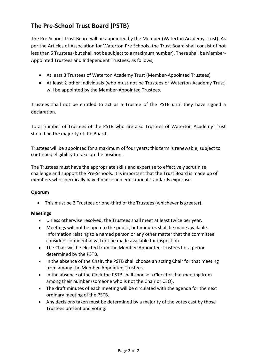## **The Pre-School Trust Board (PSTB)**

The Pre-School Trust Board will be appointed by the Member (Waterton Academy Trust). As per the Articles of Association for Waterton Pre Schools, the Trust Board shall consist of not less than 5 Trustees (but shall not be subject to a maximum number). There shall be Member-Appointed Trustees and Independent Trustees, as follows;

- At least 3 Trustees of Waterton Academy Trust (Member-Appointed Trustees)
- At least 2 other individuals (who must not be Trustees of Waterton Academy Trust) will be appointed by the Member-Appointed Trustees.

Trustees shall not be entitled to act as a Trustee of the PSTB until they have signed a declaration.

Total number of Trustees of the PSTB who are also Trustees of Waterton Academy Trust should be the majority of the Board.

Trustees will be appointed for a maximum of four years; this term is renewable, subject to continued eligibility to take up the position.

The Trustees must have the appropriate skills and expertise to effectively scrutinise, challenge and support the Pre-Schools. It is important that the Trust Board is made up of members who specifically have finance and educational standards expertise.

#### **Quorum**

• This must be 2 Trustees or one-third of the Trustees (whichever is greater).

#### **Meetings**

- Unless otherwise resolved, the Trustees shall meet at least twice per year.
- Meetings will not be open to the public, but minutes shall be made available. Information relating to a named person or any other matter that the committee considers confidential will not be made available for inspection.
- The Chair will be elected from the Member-Appointed Trustees for a period determined by the PSTB.
- In the absence of the Chair, the PSTB shall choose an acting Chair for that meeting from among the Member-Appointed Trustees.
- In the absence of the Clerk the PSTB shall choose a Clerk for that meeting from among their number (someone who is not the Chair or CEO).
- The draft minutes of each meeting will be circulated with the agenda for the next ordinary meeting of the PSTB.
- Any decisions taken must be determined by a majority of the votes cast by those Trustees present and voting.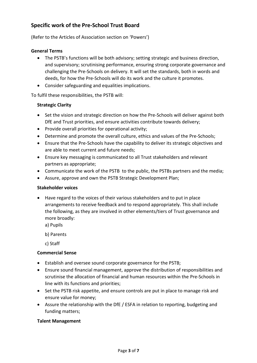## **Specific work of the Pre-School Trust Board**

(Refer to the Articles of Association section on 'Powers')

#### **General Terms**

- The PSTB's functions will be both advisory; setting strategic and business direction, and supervisory; scrutinising performance, ensuring strong corporate governance and challenging the Pre-Schools on delivery. It will set the standards, both in words and deeds, for how the Pre-Schools will do its work and the culture it promotes.
- Consider safeguarding and equalities implications.

To fulfil these responsibilities, the PSTB will:

#### **Strategic Clarity**

- Set the vision and strategic direction on how the Pre-Schools will deliver against both DfE and Trust priorities, and ensure activities contribute towards delivery;
- Provide overall priorities for operational activity;
- Determine and promote the overall culture, ethics and values of the Pre-Schools;
- Ensure that the Pre-Schools have the capability to deliver its strategic objectives and are able to meet current and future needs;
- Ensure key messaging is communicated to all Trust stakeholders and relevant partners as appropriate;
- Communicate the work of the PSTB to the public, the PSTBs partners and the media;
- Assure, approve and own the PSTB Strategic Development Plan;

#### **Stakeholder voices**

• Have regard to the voices of their various stakeholders and to put in place arrangements to receive feedback and to respond appropriately. This shall include the following, as they are involved in other elements/tiers of Trust governance and more broadly:

a) Pupils

b) Parents

c) Staff

#### **Commercial Sense**

- Establish and oversee sound corporate governance for the PSTB;
- Ensure sound financial management, approve the distribution of responsibilities and scrutinise the allocation of financial and human resources within the Pre-Schools in line with its functions and priorities;
- Set the PSTB risk appetite, and ensure controls are put in place to manage risk and ensure value for money;
- Assure the relationship with the DfE / ESFA in relation to reporting, budgeting and funding matters;

#### **Talent Management**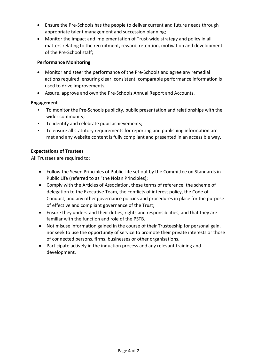- Ensure the Pre-Schools has the people to deliver current and future needs through appropriate talent management and succession planning;
- Monitor the impact and implementation of Trust-wide strategy and policy in all matters relating to the recruitment, reward, retention, motivation and development of the Pre-School staff;

#### **Performance Monitoring**

- Monitor and steer the performance of the Pre-Schools and agree any remedial actions required, ensuring clear, consistent, comparable performance information is used to drive improvements;
- Assure, approve and own the Pre-Schools Annual Report and Accounts.

#### **Engagement**

- To monitor the Pre-Schools publicity, public presentation and relationships with the wider community;
- To identify and celebrate pupil achievements;
- To ensure all statutory requirements for reporting and publishing information are met and any website content is fully compliant and presented in an accessible way.

#### **Expectations of Trustees**

All Trustees are required to:

- Follow the Seven Principles of Public Life set out by the Committee on Standards in Public Life (referred to as "the Nolan Principles);
- Comply with the Articles of Association, these terms of reference, the scheme of delegation to the Executive Team, the conflicts of interest policy, the Code of Conduct, and any other governance policies and procedures in place for the purpose of effective and compliant governance of the Trust;
- Ensure they understand their duties, rights and responsibilities, and that they are familiar with the function and role of the PSTB.
- Not misuse information gained in the course of their Trusteeship for personal gain, nor seek to use the opportunity of service to promote their private interests or those of connected persons, firms, businesses or other organisations.
- Participate actively in the induction process and any relevant training and development.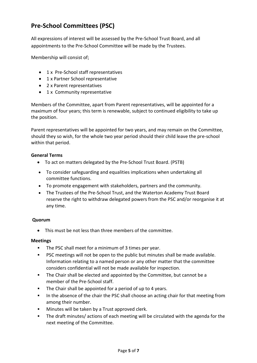# **Pre-School Committees (PSC)**

All expressions of interest will be assessed by the Pre-School Trust Board, and all appointments to the Pre-School Committee will be made by the Trustees.

Membership will consist of;

- 1 x Pre-School staff representatives
- 1 x Partner School representative
- 2 x Parent representatives
- 1 x Community representative

Members of the Committee, apart from Parent representatives, will be appointed for a maximum of four years; this term is renewable, subject to continued eligibility to take up the position.

Parent representatives will be appointed for two years, and may remain on the Committee, should they so wish, for the whole two year period should their child leave the pre-school within that period.

#### **General Terms**

- To act on matters delegated by the Pre-School Trust Board. (PSTB)
- To consider safeguarding and equalities implications when undertaking all committee functions.
- To promote engagement with stakeholders, partners and the community.
- The Trustees of the Pre-School Trust, and the Waterton Academy Trust Board reserve the right to withdraw delegated powers from the PSC and/or reorganise it at any time.

#### **Quorum**

• This must be not less than three members of the committee.

#### **Meetings**

- The PSC shall meet for a minimum of 3 times per year.
- PSC meetings will not be open to the public but minutes shall be made available. Information relating to a named person or any other matter that the committee considers confidential will not be made available for inspection.
- **•** The Chair shall be elected and appointed by the Committee, but cannot be a member of the Pre-School staff.
- The Chair shall be appointed for a period of up to 4 years.
- **.** In the absence of the chair the PSC shall choose an acting chair for that meeting from among their number.
- Minutes will be taken by a Trust approved clerk.
- The draft minutes/ actions of each meeting will be circulated with the agenda for the next meeting of the Committee.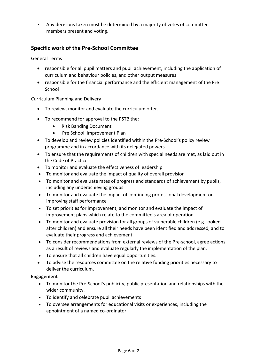▪ Any decisions taken must be determined by a majority of votes of committee members present and voting.

## **Specific work of the Pre-School Committee**

General Terms

- responsible for all pupil matters and pupil achievement, including the application of curriculum and behaviour policies, and other output measures
- responsible for the financial performance and the efficient management of the Pre School

#### Curriculum Planning and Delivery

- To review, monitor and evaluate the curriculum offer.
- To recommend for approval to the PSTB the:
	- Risk Banding Document
	- Pre School Improvement Plan
- To develop and review policies identified within the Pre-School's policy review programme and in accordance with its delegated powers
- To ensure that the requirements of children with special needs are met, as laid out in the Code of Practice
- To monitor and evaluate the effectiveness of leadership
- To monitor and evaluate the impact of quality of overall provision
- To monitor and evaluate rates of progress and standards of achievement by pupils, including any underachieving groups
- To monitor and evaluate the impact of continuing professional development on improving staff performance
- To set priorities for improvement, and monitor and evaluate the impact of improvement plans which relate to the committee's area of operation.
- To monitor and evaluate provision for all groups of vulnerable children (e.g. looked after children) and ensure all their needs have been identified and addressed, and to evaluate their progress and achievement.
- To consider recommendations from external reviews of the Pre-school, agree actions as a result of reviews and evaluate regularly the implementation of the plan.
- To ensure that all children have equal opportunities.
- To advise the resources committee on the relative funding priorities necessary to deliver the curriculum.

#### **Engagement**

- To monitor the Pre-School's publicity, public presentation and relationships with the wider community.
- To identify and celebrate pupil achievements
- To oversee arrangements for educational visits or experiences, including the appointment of a named co-ordinator.